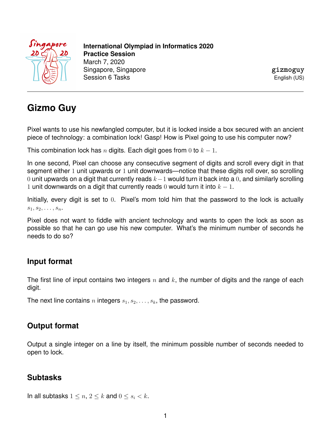

**International Olympiad in Informatics 2020 Practice Session** March 7, 2020 Singapore, Singapore Session 6 Tasks

**gizmoguy** English (US)

# **Gizmo Guy**

Pixel wants to use his newfangled computer, but it is locked inside a box secured with an ancient piece of technology: a combination lock! Gasp! How is Pixel going to use his computer now?

This combination lock has n digits. Each digit goes from 0 to  $k - 1$ .

In one second, Pixel can choose any consecutive segment of digits and scroll every digit in that segment either 1 unit upwards or 1 unit downwards—notice that these digits roll over, so scrolling 0 unit upwards on a digit that currently reads  $k-1$  would turn it back into a 0, and similarly scrolling 1 unit downwards on a digit that currently reads 0 would turn it into  $k - 1$ .

Initially, every digit is set to 0. Pixel's mom told him that the password to the lock is actually  $s_1, s_2, \ldots, s_n$ .

Pixel does not want to fiddle with ancient technology and wants to open the lock as soon as possible so that he can go use his new computer. What's the minimum number of seconds he needs to do so?

### **Input format**

The first line of input contains two integers  $n$  and  $k$ , the number of digits and the range of each digit.

The next line contains n integers  $s_1, s_2, \ldots, s_k$ , the password.

#### **Output format**

Output a single integer on a line by itself, the minimum possible number of seconds needed to open to lock.

#### **Subtasks**

In all subtasks  $1 \leq n, 2 \leq k$  and  $0 \leq s_i < k$ .